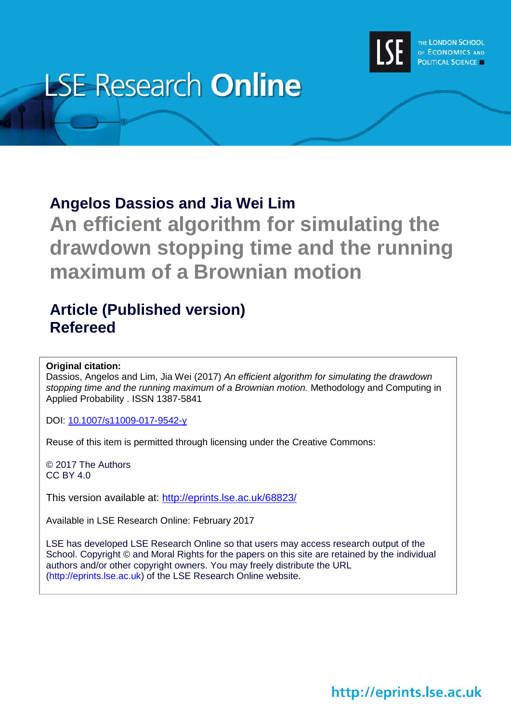

# **LSE Research Online**

## **Angelos Dassios and Jia Wei Lim**

**An efficient algorithm for simulating the drawdown stopping time and the running maximum of a Brownian motion**

# **Article (Published version) Refereed**

### **Original citation:**

Dassios, Angelos and Lim, Jia Wei (2017) *An efficient algorithm for simulating the drawdown stopping time and the running maximum of a Brownian motion.* Methodology and Computing in Applied Probability . ISSN 1387-5841

DOI: [10.1007/s11009-017-9542-y](http://dx.doi.org/10.1007/s11009-017-9542-y)

Reuse of this item is permitted through licensing under the Creative Commons:

© 2017 The Authors CC BY 4.0

This version available at: <http://eprints.lse.ac.uk/68823/>

Available in LSE Research Online: February 2017

LSE has developed LSE Research Online so that users may access research output of the School. Copyright © and Moral Rights for the papers on this site are retained by the individual authors and/or other copyright owners. You may freely distribute the URL (http://eprints.lse.ac.uk) of the LSE Research Online website.

http://eprints.lse.ac.uk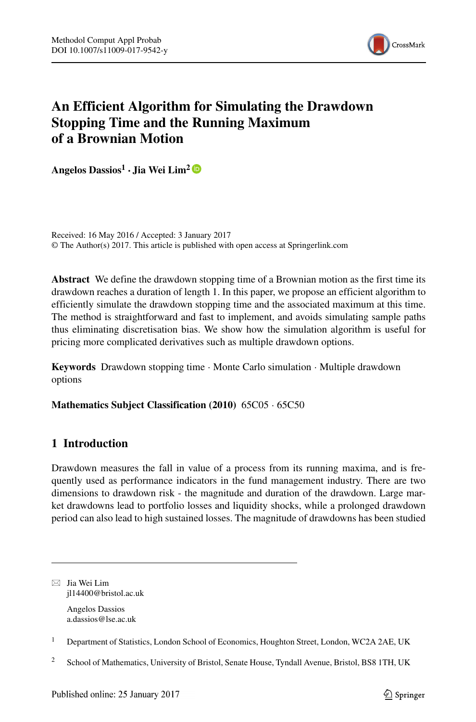

## **An Efficient Algorithm for Simulating the Drawdown Stopping Time and the Running Maximum of a Brownian Motion**

**Angelos Dassios<sup>1</sup> · Jia Wei Lim2**

Received: 16 May 2016 / Accepted: 3 January 2017 © The Author(s) 2017. This article is published with open access at Springerlink.com

**Abstract** We define the drawdown stopping time of a Brownian motion as the first time its drawdown reaches a duration of length 1. In this paper, we propose an efficient algorithm to efficiently simulate the drawdown stopping time and the associated maximum at this time. The method is straightforward and fast to implement, and avoids simulating sample paths thus eliminating discretisation bias. We show how the simulation algorithm is useful for pricing more complicated derivatives such as multiple drawdown options.

**Keywords** Drawdown stopping time · Monte Carlo simulation · Multiple drawdown options

**Mathematics Subject Classification (2010)** 65C05 · 65C50

#### **1 Introduction**

Drawdown measures the fall in value of a process from its running maxima, and is frequently used as performance indicators in the fund management industry. There are two dimensions to drawdown risk - the magnitude and duration of the drawdown. Large market drawdowns lead to portfolio losses and liquidity shocks, while a prolonged drawdown period can also lead to high sustained losses. The magnitude of drawdowns has been studied

 $\boxtimes$  Jia Wei Lim [jl14400@bristol.ac.uk](mailto:jl14400@bristol.ac.uk)

> Angelos Dassios [a.dassios@lse.ac.uk](mailto:a.dassios@lse.ac.uk)

<sup>1</sup> Department of Statistics, London School of Economics, Houghton Street, London, WC2A 2AE, UK

<sup>&</sup>lt;sup>2</sup> School of Mathematics, University of Bristol, Senate House, Tyndall Avenue, Bristol, BS8 1TH, UK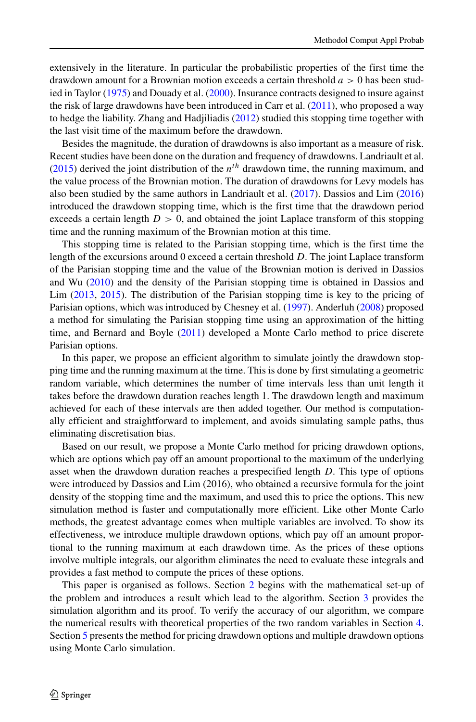extensively in the literature. In particular the probabilistic properties of the first time the drawdown amount for a Brownian motion exceeds a certain threshold *a >* 0 has been studied in Taylor [\(1975\)](#page-16-0) and Douady et al. [\(2000\)](#page-16-1). Insurance contracts designed to insure against the risk of large drawdowns have been introduced in Carr et al. [\(2011\)](#page-16-2), who proposed a way to hedge the liability. Zhang and Hadjiliadis [\(2012\)](#page-16-3) studied this stopping time together with the last visit time of the maximum before the drawdown.

Besides the magnitude, the duration of drawdowns is also important as a measure of risk. Recent studies have been done on the duration and frequency of drawdowns. Landriault et al. [\(2015\)](#page-16-4) derived the joint distribution of the  $n<sup>th</sup>$  drawdown time, the running maximum, and the value process of the Brownian motion. The duration of drawdowns for Levy models has also been studied by the same authors in Landriault et al. [\(2017\)](#page-16-5). Dassios and Lim [\(2016\)](#page-16-6) introduced the drawdown stopping time, which is the first time that the drawdown period exceeds a certain length  $D > 0$ , and obtained the joint Laplace transform of this stopping time and the running maximum of the Brownian motion at this time.

This stopping time is related to the Parisian stopping time, which is the first time the length of the excursions around 0 exceed a certain threshold *D*. The joint Laplace transform of the Parisian stopping time and the value of the Brownian motion is derived in Dassios and Wu [\(2010\)](#page-16-7) and the density of the Parisian stopping time is obtained in Dassios and Lim [\(2013,](#page-16-8) [2015\)](#page-16-9). The distribution of the Parisian stopping time is key to the pricing of Parisian options, which was introduced by Chesney et al. [\(1997\)](#page-16-10). Anderluh [\(2008\)](#page-16-11) proposed a method for simulating the Parisian stopping time using an approximation of the hitting time, and Bernard and Boyle [\(2011\)](#page-16-12) developed a Monte Carlo method to price discrete Parisian options.

In this paper, we propose an efficient algorithm to simulate jointly the drawdown stopping time and the running maximum at the time. This is done by first simulating a geometric random variable, which determines the number of time intervals less than unit length it takes before the drawdown duration reaches length 1. The drawdown length and maximum achieved for each of these intervals are then added together. Our method is computationally efficient and straightforward to implement, and avoids simulating sample paths, thus eliminating discretisation bias.

Based on our result, we propose a Monte Carlo method for pricing drawdown options, which are options which pay off an amount proportional to the maximum of the underlying asset when the drawdown duration reaches a prespecified length *D*. This type of options were introduced by Dassios and Lim (2016), who obtained a recursive formula for the joint density of the stopping time and the maximum, and used this to price the options. This new simulation method is faster and computationally more efficient. Like other Monte Carlo methods, the greatest advantage comes when multiple variables are involved. To show its effectiveness, we introduce multiple drawdown options, which pay off an amount proportional to the running maximum at each drawdown time. As the prices of these options involve multiple integrals, our algorithm eliminates the need to evaluate these integrals and provides a fast method to compute the prices of these options.

This paper is organised as follows. Section [2](#page-3-0) begins with the mathematical set-up of the problem and introduces a result which lead to the algorithm. Section [3](#page-8-0) provides the simulation algorithm and its proof. To verify the accuracy of our algorithm, we compare the numerical results with theoretical properties of the two random variables in Section [4.](#page-12-0) Section [5](#page-12-1) presents the method for pricing drawdown options and multiple drawdown options using Monte Carlo simulation.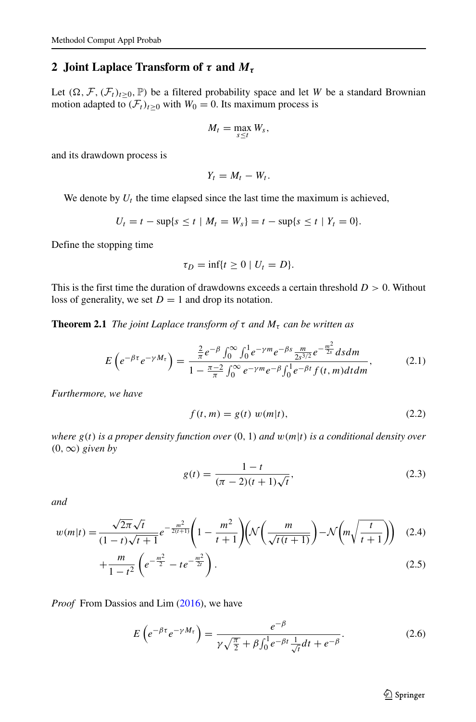#### <span id="page-3-0"></span>**2 Joint Laplace Transform of** *τ* **and** *Mτ*

Let  $(\Omega, \mathcal{F}, (\mathcal{F}_t)_{t \geq 0}, \mathbb{P})$  be a filtered probability space and let *W* be a standard Brownian motion adapted to  $(\mathcal{F}_t)_{t\geq0}$  with  $W_0 = 0$ . Its maximum process is

$$
M_t = \max_{s \leq t} W_s,
$$

and its drawdown process is

$$
Y_t = M_t - W_t.
$$

We denote by  $U_t$  the time elapsed since the last time the maximum is achieved,

$$
U_t = t - \sup\{s \le t \mid M_t = W_s\} = t - \sup\{s \le t \mid Y_t = 0\}.
$$

Define the stopping time

$$
\tau_D = \inf\{t \ge 0 \mid U_t = D\}.
$$

This is the first time the duration of drawdowns exceeds a certain threshold *D >* 0. Without loss of generality, we set  $D = 1$  and drop its notation.

**Theorem 2.1** *The joint Laplace transform of*  $\tau$  *and*  $M_{\tau}$  *can be written as* 

$$
E\left(e^{-\beta\tau}e^{-\gamma M_{\tau}}\right) = \frac{\frac{2}{\pi}e^{-\beta}\int_0^{\infty}\int_0^1 e^{-\gamma m}e^{-\beta s}\frac{m}{2s^{3/2}}e^{-\frac{m^2}{2s}}dsdm}{1 - \frac{\pi - 2}{\pi}\int_0^{\infty}e^{-\gamma m}e^{-\beta}\int_0^1 e^{-\beta t}f(t, m)dtdm},\tag{2.1}
$$

*Furthermore, we have*

$$
f(t, m) = g(t) w(m|t),
$$
 (2.2)

*where g(t) is a proper density function over (*0*,* 1*) and w(m*|*t) is a conditional density over*  $(0, ∞)$  *given by* 

$$
g(t) = \frac{1 - t}{(\pi - 2)(t + 1)\sqrt{t}},
$$
\n(2.3)

*and*

$$
w(m|t) = \frac{\sqrt{2\pi}\sqrt{t}}{(1-t)\sqrt{t+1}}e^{-\frac{m^2}{2(t+1)}}\left(1 - \frac{m^2}{t+1}\right)\left(\mathcal{N}\left(\frac{m}{\sqrt{t(t+1)}}\right) - \mathcal{N}\left(m\sqrt{\frac{t}{t+1}}\right)\right) (2.4)
$$
  

$$
m \left(\frac{m^2}{\sqrt{t+1}}\right)
$$

$$
+\frac{m}{1-t^2}\left(e^{-\frac{m^2}{2}}-te^{-\frac{m^2}{2t}}\right).
$$
\n(2.5)

*Proof* From Dassios and Lim [\(2016\)](#page-16-6), we have

<span id="page-3-1"></span>
$$
E\left(e^{-\beta\tau}e^{-\gamma M_{\tau}}\right) = \frac{e^{-\beta}}{\gamma\sqrt{\frac{\pi}{2}} + \beta\int_0^1 e^{-\beta t} \frac{1}{\sqrt{t}} dt + e^{-\beta}}.
$$
\n(2.6)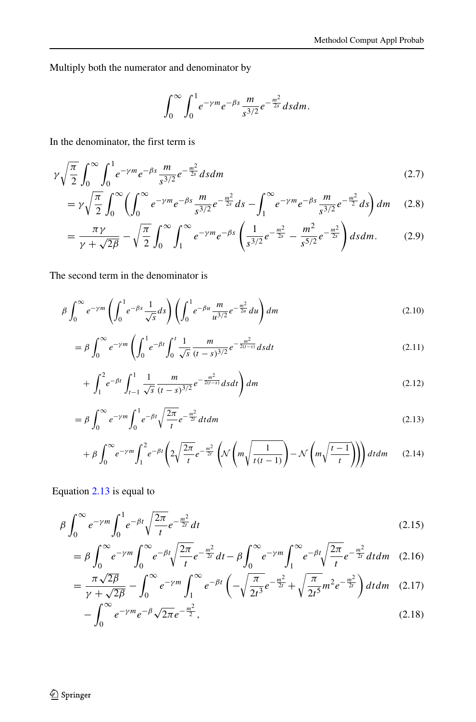Multiply both the numerator and denominator by

$$
\int_0^{\infty} \int_0^1 e^{-\gamma m} e^{-\beta s} \frac{m}{s^{3/2}} e^{-\frac{m^2}{2s}} ds dm.
$$

In the denominator, the first term is

$$
\gamma \sqrt{\frac{\pi}{2}} \int_0^\infty \int_0^1 e^{-\gamma m} e^{-\beta s} \frac{m}{s^{3/2}} e^{-\frac{m^2}{2s}} ds dm \tag{2.7}
$$

$$
= \gamma \sqrt{\frac{\pi}{2}} \int_0^\infty \left( \int_0^\infty e^{-\gamma m} e^{-\beta s} \frac{m}{s^{3/2}} e^{-\frac{m^2}{2s}} ds - \int_1^\infty e^{-\gamma m} e^{-\beta s} \frac{m}{s^{3/2}} e^{-\frac{m^2}{2}} ds \right) dm \tag{2.8}
$$

$$
= \frac{\pi \gamma}{\gamma + \sqrt{2\beta}} - \sqrt{\frac{\pi}{2}} \int_0^\infty \int_1^\infty e^{-\gamma m} e^{-\beta s} \left( \frac{1}{s^{3/2}} e^{-\frac{m^2}{2s}} - \frac{m^2}{s^{5/2}} e^{-\frac{m^2}{2s}} \right) ds dm. \tag{2.9}
$$

The second term in the denominator is

<span id="page-4-0"></span>
$$
\beta \int_0^{\infty} e^{-\gamma m} \left( \int_0^1 e^{-\beta s} \frac{1}{\sqrt{s}} ds \right) \left( \int_0^1 e^{-\beta u} \frac{m}{u^{3/2}} e^{-\frac{m^2}{2u}} du \right) dm \tag{2.10}
$$

$$
= \beta \int_0^\infty e^{-\gamma m} \left( \int_0^1 e^{-\beta t} \int_0^t \frac{1}{\sqrt{s}} \frac{m}{(t-s)^{3/2}} e^{-\frac{m^2}{2(t-s)}} ds dt \right)
$$
(2.11)

$$
+\int_{1}^{2} e^{-\beta t} \int_{t-1}^{1} \frac{1}{\sqrt{s}} \frac{m}{(t-s)^{3/2}} e^{-\frac{m^2}{2(t-s)}} ds dt \bigg) dm \tag{2.12}
$$

$$
= \beta \int_0^{\infty} e^{-\gamma m} \int_0^1 e^{-\beta t} \sqrt{\frac{2\pi}{t}} e^{-\frac{m^2}{2t}} dt dm
$$
\n(2.13)

$$
+\beta \int_0^\infty e^{-\gamma m} \int_1^2 e^{-\beta t} \left(2\sqrt{\frac{2\pi}{t}} e^{-\frac{m^2}{2t}} \left(\mathcal{N}\left(m\sqrt{\frac{1}{t(t-1)}}\right) - \mathcal{N}\left(m\sqrt{\frac{t-1}{t}}\right)\right)\right) dt dm \qquad (2.14)
$$

Equation [2.13](#page-4-0) is equal to

$$
\beta \int_0^\infty e^{-\gamma m} \int_0^1 e^{-\beta t} \sqrt{\frac{2\pi}{t}} e^{-\frac{m^2}{2t}} dt
$$
\n(2.15)

$$
= \beta \int_0^\infty e^{-\gamma m} \int_0^\infty e^{-\beta t} \sqrt{\frac{2\pi}{t}} e^{-\frac{m^2}{2t}} dt - \beta \int_0^\infty e^{-\gamma m} \int_1^\infty e^{-\beta t} \sqrt{\frac{2\pi}{t}} e^{-\frac{m^2}{2t}} dt dm \quad (2.16)
$$

$$
= \frac{\pi\sqrt{2\beta}}{\gamma + \sqrt{2\beta}} - \int_0^\infty e^{-\gamma m} \int_1^\infty e^{-\beta t} \left( -\sqrt{\frac{\pi}{2t^3}} e^{-\frac{m^2}{2t}} + \sqrt{\frac{\pi}{2t^5}} m^2 e^{-\frac{m^2}{2t}} \right) dt dm \quad (2.17)
$$

$$
-\int_0^\infty e^{-\gamma m} e^{-\beta} \sqrt{2\pi} e^{-\frac{m^2}{2}},\tag{2.18}
$$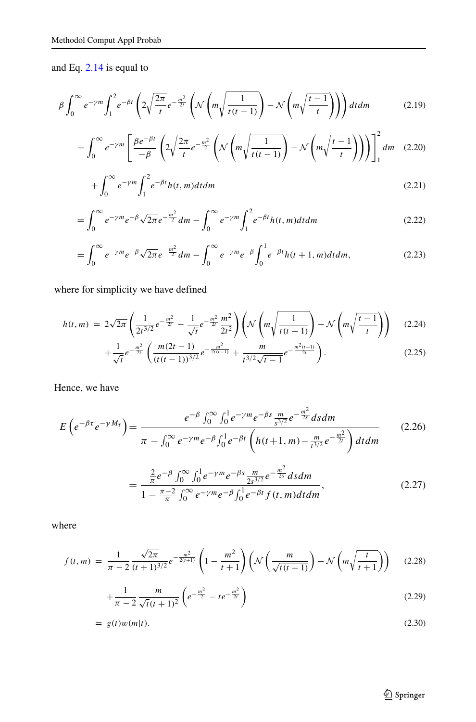and Eq. [2.14](#page-4-0) is equal to

$$
\beta \int_0^\infty e^{-\gamma m} \int_1^2 e^{-\beta t} \left( 2\sqrt{\frac{2\pi}{t}} e^{-\frac{m^2}{2t}} \left( \mathcal{N}\left(m\sqrt{\frac{1}{t(t-1)}}\right) - \mathcal{N}\left(m\sqrt{\frac{t-1}{t}}\right) \right) \right) dt dm \tag{2.19}
$$

$$
= \int_0^\infty e^{-\gamma m} \left[ \frac{\beta e^{-\beta t}}{-\beta} \left( 2\sqrt{\frac{2\pi}{t}} e^{-\frac{m^2}{2}} \left( \mathcal{N} \left( m \sqrt{\frac{1}{t(t-1)}} \right) - \mathcal{N} \left( m \sqrt{\frac{t-1}{t}} \right) \right) \right) \right]_1^2 dm \quad (2.20)
$$

$$
+\int_0^\infty e^{-\gamma m} \int_1^2 e^{-\beta t} h(t,m) dt dm \tag{2.21}
$$

$$
= \int_0^\infty e^{-\gamma m} e^{-\beta} \sqrt{2\pi} e^{-\frac{m^2}{2}} dm - \int_0^\infty e^{-\gamma m} \int_1^2 e^{-\beta t} h(t, m) dt dm \tag{2.22}
$$

$$
= \int_0^\infty e^{-\gamma m} e^{-\beta} \sqrt{2\pi} e^{-\frac{m^2}{2}} dm - \int_0^\infty e^{-\gamma m} e^{-\beta} \int_0^1 e^{-\beta t} h(t+1, m) dt dm, \tag{2.23}
$$

where for simplicity we have defined

$$
h(t,m) = 2\sqrt{2\pi} \left( \frac{1}{2t^{3/2}} e^{-\frac{m^2}{2t}} - \frac{1}{\sqrt{t}} e^{-\frac{m^2}{2t}} \frac{m^2}{2t^2} \right) \left( \mathcal{N} \left( m \sqrt{\frac{1}{t(t-1)}} \right) - \mathcal{N} \left( m \sqrt{\frac{t-1}{t}} \right) \right) \tag{2.24}
$$

$$
+ \frac{1}{\sqrt{t}} e^{-\frac{m^2}{2t}} \left( \frac{m(2t-1)}{(t(t-1))^{3/2}} e^{-\frac{m^2}{2t(t-1)}} + \frac{m}{t^{3/2} \sqrt{t-1}} e^{-\frac{m^2(t-1)}{2t}} \right). \tag{2.25}
$$

Hence, we have

$$
E\left(e^{-\beta\tau}e^{-\gamma M_{\tau}}\right) = \frac{e^{-\beta}\int_{0}^{\infty}\int_{0}^{1}e^{-\gamma m}e^{-\beta s}\frac{m}{s^{3/2}}e^{-\frac{m^{2}}{2s}}dsdm}{\pi - \int_{0}^{\infty}e^{-\gamma m}e^{-\beta}\int_{0}^{1}e^{-\beta t}\left(h(t+1, m) - \frac{m}{t^{3/2}}e^{-\frac{m^{2}}{2t}}\right)dt dm}
$$
(2.26)

$$
= \frac{\frac{2}{\pi}e^{-\beta}\int_0^\infty \int_0^1 e^{-\gamma m}e^{-\beta s}\frac{m}{2s^{3/2}}e^{-\frac{m^2}{2s}}dsdm}{1 - \frac{\pi - 2}{\pi}\int_0^\infty e^{-\gamma m}e^{-\beta}\int_0^1 e^{-\beta t}f(t, m)dtdm},
$$
(2.27)

where

$$
f(t,m) = \frac{1}{\pi - 2} \frac{\sqrt{2\pi}}{(t+1)^{3/2}} e^{-\frac{m^2}{2(t+1)}} \left(1 - \frac{m^2}{t+1}\right) \left(\mathcal{N}\left(\frac{m}{\sqrt{t(t+1)}}\right) - \mathcal{N}\left(m\sqrt{\frac{t}{t+1}}\right)\right) \tag{2.28}
$$

$$
+\frac{1}{\pi-2}\frac{m}{\sqrt{t}(t+1)^2}\left(e^{-\frac{m^2}{2}}-te^{-\frac{m^2}{2t}}\right)
$$
\n(2.29)

$$
= g(t)w(m|t). \tag{2.30}
$$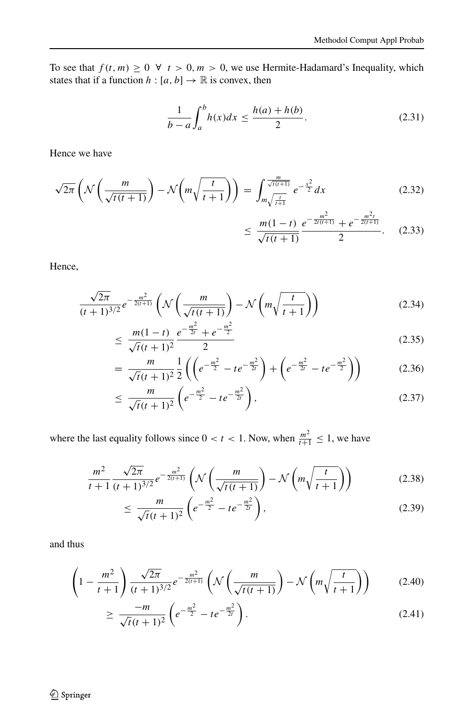To see that  $f(t, m) \ge 0 \ \forall \ t > 0, m > 0$ , we use Hermite-Hadamard's Inequality, which states that if a function  $h : [a, b] \rightarrow \mathbb{R}$  is convex, then

<span id="page-6-0"></span>
$$
\frac{1}{b-a} \int_{a}^{b} h(x)dx \le \frac{h(a) + h(b)}{2}.
$$
 (2.31)

Hence we have

$$
\sqrt{2\pi} \left( \mathcal{N} \left( \frac{m}{\sqrt{t(t+1)}} \right) - \mathcal{N} \left( m \sqrt{\frac{t}{t+1}} \right) \right) = \int_{m \sqrt{\frac{t}{t+1}}}^{\frac{m}{\sqrt{t(t+1)}}} e^{-\frac{x^2}{2}} dx
$$
(2.32)  

$$
m(1-t) e^{-\frac{m^2}{2(t+1)}} + e^{-\frac{m^2}{2(t+1)}}
$$
(2.32)

$$
\leq \frac{m(1-t)}{\sqrt{t(t+1)}} \frac{e^{-\frac{m}{2t(t+1)}} + e^{-\frac{m}{2(t+1)}}}{2}.
$$
 (2.33)

Hence,

$$
\frac{\sqrt{2\pi}}{(t+1)^{3/2}}e^{-\frac{m^2}{2(t+1)}}\left(\mathcal{N}\left(\frac{m}{\sqrt{t(t+1)}}\right)-\mathcal{N}\left(m\sqrt{\frac{t}{t+1}}\right)\right) \tag{2.34}
$$

$$
\leq \frac{m(1-t)}{\sqrt{t}(t+1)^2} \frac{e^{-\frac{m^2}{2t}} + e^{-\frac{m^2}{2}}}{2} \tag{2.35}
$$

$$
= \frac{m}{\sqrt{t}(t+1)^2} \frac{1}{2} \left( \left( e^{-\frac{m^2}{2}} - t e^{-\frac{m^2}{2t}} \right) + \left( e^{-\frac{m^2}{2t}} - t e^{-\frac{m^2}{2}} \right) \right) \tag{2.36}
$$

$$
\leq \frac{m}{\sqrt{t}(t+1)^2} \left( e^{-\frac{m^2}{2}} - t e^{-\frac{m^2}{2t}} \right),\tag{2.37}
$$

where the last equality follows since  $0 < t < 1$ . Now, when  $\frac{m^2}{t+1} \le 1$ , we have

$$
\frac{m^2}{t+1} \frac{\sqrt{2\pi}}{(t+1)^{3/2}} e^{-\frac{m^2}{2(t+1)}} \left( \mathcal{N}\left(\frac{m}{\sqrt{t(t+1)}}\right) - \mathcal{N}\left(m\sqrt{\frac{t}{t+1}}\right) \right)
$$
(2.38)

$$
\leq \frac{m}{\sqrt{t}(t+1)^2} \left( e^{-\frac{m^2}{2}} - t e^{-\frac{m^2}{2t}} \right),\tag{2.39}
$$

and thus

$$
\left(1 - \frac{m^2}{t+1}\right) \frac{\sqrt{2\pi}}{(t+1)^{3/2}} e^{-\frac{m^2}{2(t+1)}} \left(\mathcal{N}\left(\frac{m}{\sqrt{t(t+1)}}\right) - \mathcal{N}\left(m\sqrt{\frac{t}{t+1}}\right)\right) \tag{2.40}
$$

$$
\geq \frac{-m}{\sqrt{t}(t+1)^2} \left( e^{-\frac{m^2}{2}} - t e^{-\frac{m^2}{2t}} \right). \tag{2.41}
$$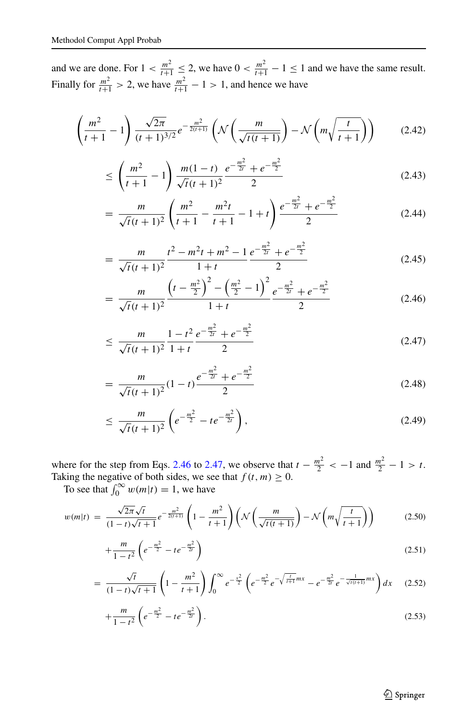and we are done. For  $1 < \frac{m^2}{t+1} \leq 2$ , we have  $0 < \frac{m^2}{t+1} - 1 \leq 1$  and we have the same result. Finally for  $\frac{m^2}{t+1} > 2$ , we have  $\frac{m^2}{t+1} - 1 > 1$ , and hence we have

<span id="page-7-0"></span>
$$
\left(\frac{m^2}{t+1} - 1\right) \frac{\sqrt{2\pi}}{(t+1)^{3/2}} e^{-\frac{m^2}{2(t+1)}} \left(\mathcal{N}\left(\frac{m}{\sqrt{t(t+1)}}\right) - \mathcal{N}\left(m\sqrt{\frac{t}{t+1}}\right)\right) \tag{2.42}
$$

$$
\leq \left(\frac{m^2}{t+1} - 1\right) \frac{m(1-t)}{\sqrt{t}(t+1)^2} \frac{e^{-\frac{m^2}{2t}} + e^{-\frac{m^2}{2}}}{2} \tag{2.43}
$$

$$
= \frac{m}{\sqrt{t}(t+1)^2} \left( \frac{m^2}{t+1} - \frac{m^2t}{t+1} - 1 + t \right) \frac{e^{-\frac{m^2}{2t}} + e^{-\frac{m^2}{2}}}{2}
$$
(2.44)

$$
= \frac{m}{\sqrt{t}(t+1)^2} \frac{t^2 - m^2t + m^2 - 1}{1+t} \frac{e^{-\frac{m^2}{2t}} + e^{-\frac{m^2}{2}}}{2}
$$
(2.45)

$$
= \frac{m}{\sqrt{t}(t+1)^2} \frac{\left(t - \frac{m^2}{2}\right)^2 - \left(\frac{m^2}{2} - 1\right)^2}{1+t} e^{-\frac{m^2}{2t}} + e^{-\frac{m^2}{2}}
$$
(2.46)

$$
\leq \frac{m}{\sqrt{t}(t+1)^2} \frac{1-t^2}{1+t} \frac{e^{-\frac{m^2}{2t}} + e^{-\frac{m^2}{2}}}{2} \tag{2.47}
$$

$$
=\frac{m}{\sqrt{t(t+1)^2}}(1-t)\frac{e^{-\frac{m^2}{2t}}+e^{-\frac{m^2}{2}}}{2}\tag{2.48}
$$

$$
\leq \frac{m}{\sqrt{t}(t+1)^2} \left( e^{-\frac{m^2}{2}} - t e^{-\frac{m^2}{2t}} \right), \tag{2.49}
$$

where for the step from Eqs. [2.46](#page-7-0) to [2.47,](#page-7-0) we observe that  $t - \frac{m^2}{2} < -1$  and  $\frac{m^2}{2} - 1 > t$ . Taking the negative of both sides, we see that  $f(t, m) \geq 0$ .

To see that  $\int_0^\infty w(m|t) = 1$ , we have

<span id="page-7-1"></span>
$$
w(m|t) = \frac{\sqrt{2\pi}\sqrt{t}}{(1-t)\sqrt{t+1}}e^{-\frac{m^2}{2(t+1)}}\left(1-\frac{m^2}{t+1}\right)\left(\mathcal{N}\left(\frac{m}{\sqrt{t(t+1)}}\right)-\mathcal{N}\left(m\sqrt{\frac{t}{t+1}}\right)\right) \tag{2.50}
$$

$$
+\frac{m}{1-t^2}\left(e^{-\frac{m^2}{2}}-te^{-\frac{m^2}{2t}}\right) \tag{2.51}
$$

$$
= \frac{\sqrt{t}}{(1-t)\sqrt{t+1}} \left(1 - \frac{m^2}{t+1}\right) \int_0^\infty e^{-\frac{x^2}{2}} \left(e^{-\frac{m^2}{2}} e^{-\sqrt{\frac{t}{t+1}}mx} - e^{-\frac{m^2}{2t}} e^{-\frac{1}{\sqrt{t(t+1)}}mx}\right) dx \quad (2.52)
$$

$$
+\frac{m}{1-t^2}\left(e^{-\frac{m^2}{2}}-te^{-\frac{m^2}{2t}}\right).
$$
\n(2.53)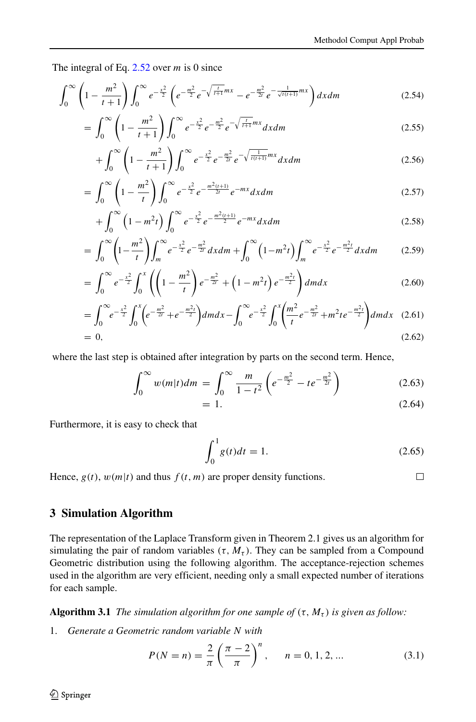The integral of Eq. [2.52](#page-7-1) over *m* is 0 since

$$
\int_0^\infty \left(1 - \frac{m^2}{t+1}\right) \int_0^\infty e^{-\frac{x^2}{2}} \left(e^{-\frac{m^2}{2}} e^{-\sqrt{\frac{t}{t+1}}mx} - e^{-\frac{m^2}{2t}} e^{-\frac{1}{\sqrt{t(t+1)}}mx}\right) dx dm\tag{2.54}
$$

$$
= \int_0^\infty \left(1 - \frac{m^2}{t+1}\right) \int_0^\infty e^{-\frac{x^2}{2}} e^{-\frac{m^2}{2}} e^{-\sqrt{\frac{t}{t+1}} m x} dx dm \tag{2.55}
$$

$$
+\int_0^\infty \left(1 - \frac{m^2}{t+1}\right) \int_0^\infty e^{-\frac{x^2}{2}} e^{-\frac{m^2}{2t}} e^{-\sqrt{\frac{1}{t(t+1)}} m x} dx dm\tag{2.56}
$$

$$
= \int_0^\infty \left(1 - \frac{m^2}{t}\right) \int_0^\infty e^{-\frac{x^2}{2}} e^{-\frac{m^2(t+1)}{2t}} e^{-mx} dx dm \tag{2.57}
$$

$$
+\int_0^\infty \left(1-m^2t\right)\int_0^\infty e^{-\frac{x^2}{2}}e^{-\frac{m^2(t+1)}{2}}e^{-mx}dx\,dm\tag{2.58}
$$

$$
= \int_0^{\infty} \left(1 - \frac{m^2}{t}\right) \int_m^{\infty} e^{-\frac{x^2}{2}} e^{-\frac{m^2}{2t}} dx dm + \int_0^{\infty} \left(1 - m^2 t\right) \int_m^{\infty} e^{-\frac{x^2}{2}} e^{-\frac{m^2 t}{2}} dx dm \tag{2.59}
$$

$$
= \int_0^\infty e^{-\frac{x^2}{2}} \int_0^x \left( \left( 1 - \frac{m^2}{t} \right) e^{-\frac{m^2}{2t}} + \left( 1 - m^2 t \right) e^{-\frac{m^2 t}{2}} \right) dm dx \tag{2.60}
$$

$$
= \int_0^{\infty} e^{-\frac{x^2}{2}} \int_0^x \left( e^{-\frac{m^2}{2t}} + e^{-\frac{m^2t}{2}} \right) dm dx - \int_0^{\infty} e^{-\frac{x^2}{2}} \int_0^x \left( \frac{m^2}{t} e^{-\frac{m^2}{2t}} + m^2 t e^{-\frac{m^2t}{2}} \right) dm dx \quad (2.61)
$$

$$
= 0, \tag{2.62}
$$

where the last step is obtained after integration by parts on the second term. Hence,

$$
\int_0^\infty w(m|t)dm = \int_0^\infty \frac{m}{1-t^2} \left( e^{-\frac{m^2}{2}} - te^{-\frac{m^2}{2t}} \right) \tag{2.63}
$$

$$
= 1. \tag{2.64}
$$

Furthermore, it is easy to check that

$$
\int_0^1 g(t)dt = 1.
$$
 (2.65)

Hence,  $g(t)$ ,  $w(m|t)$  and thus  $f(t, m)$  are proper density functions.

 $\Box$ 

#### <span id="page-8-0"></span>**3 Simulation Algorithm**

The representation of the Laplace Transform given in Theorem 2.1 gives us an algorithm for simulating the pair of random variables  $(\tau, M_{\tau})$ . They can be sampled from a Compound Geometric distribution using the following algorithm. The acceptance-rejection schemes used in the algorithm are very efficient, needing only a small expected number of iterations for each sample.

**Algorithm 3.1** *The simulation algorithm for one sample of*  $(\tau, M_{\tau})$  *is given as follow:* 

1. *Generate a Geometric random variable N with*

$$
P(N = n) = \frac{2}{\pi} \left(\frac{\pi - 2}{\pi}\right)^n, \quad n = 0, 1, 2, ... \tag{3.1}
$$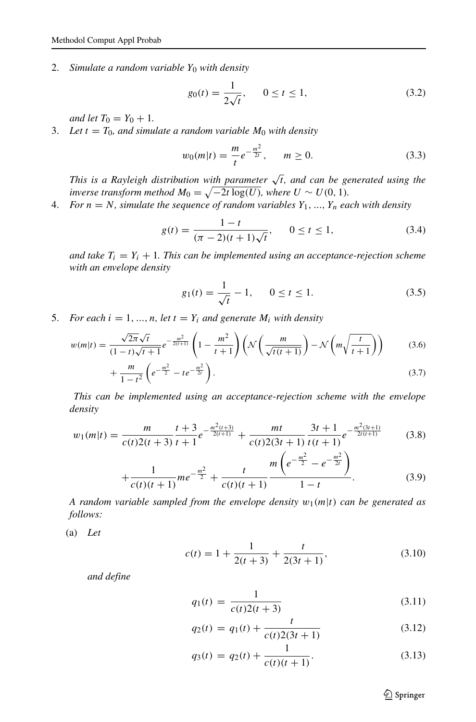2. *Simulate a random variable Y*<sup>0</sup> *with density*

$$
g_0(t) = \frac{1}{2\sqrt{t}}, \qquad 0 \le t \le 1,
$$
\n(3.2)

*and let*  $T_0 = Y_0 + 1$ *.* 

3. Let  $t = T_0$ , and simulate a random variable  $M_0$  with density

$$
w_0(m|t) = \frac{m}{t}e^{-\frac{m^2}{2t}}, \qquad m \ge 0.
$$
 (3.3)

*This is a Rayleigh distribution with parameter*  $\sqrt{t}$ *, and can be generated using the inverse transform method*  $M_0 = \sqrt{-2t \log(U)}$ *, where*  $U \sim U(0, 1)$ *.* 

4. *For*  $n = N$ *, simulate the sequence of random variables*  $Y_1, ..., Y_n$  *each with density* 

$$
g(t) = \frac{1 - t}{(\pi - 2)(t + 1)\sqrt{t}}, \qquad 0 \le t \le 1,
$$
\n(3.4)

*and take*  $T_i = Y_i + 1$ *. This can be implemented using an acceptance-rejection scheme with an envelope density*

$$
g_1(t) = \frac{1}{\sqrt{t}} - 1, \qquad 0 \le t \le 1.
$$
 (3.5)

5. *For each*  $i = 1, ..., n$ *, let*  $t = Y_i$  *and generate*  $M_i$  *with density* 

$$
w(m|t) = \frac{\sqrt{2\pi}\sqrt{t}}{(1-t)\sqrt{t+1}}e^{-\frac{m^2}{2(t+1)}}\left(1-\frac{m^2}{t+1}\right)\left(\mathcal{N}\left(\frac{m}{\sqrt{t(t+1)}}\right)-\mathcal{N}\left(m\sqrt{\frac{t}{t+1}}\right)\right) \tag{3.6}
$$

$$
+\frac{m}{1-t^2}\left(e^{-\frac{m^2}{2}}-te^{-\frac{m^2}{2t}}\right).
$$
\n(3.7)

*This can be implemented using an acceptance-rejection scheme with the envelope density*

$$
w_1(m|t) = \frac{m}{c(t)2(t+3)} \frac{t+3}{t+1} e^{-\frac{m^2(t+3)}{2(t+1)}} + \frac{mt}{c(t)2(3t+1)} \frac{3t+1}{t(t+1)} e^{-\frac{m^2(3t+1)}{2t(t+1)}} \tag{3.8}
$$

$$
+\frac{1}{c(t)(t+1)}me^{-\frac{m^2}{2}}+\frac{t}{c(t)(t+1)}\frac{m\left(e^{-\frac{m^2}{2}}-e^{-\frac{m^2}{2t}}\right)}{1-t}.
$$
(3.9)

*A random variable sampled from the envelope density*  $w_1(m|t)$  *can be generated as follows:*

(a) *Let*

$$
c(t) = 1 + \frac{1}{2(t+3)} + \frac{t}{2(3t+1)},
$$
\n(3.10)

*and define*

$$
q_1(t) = \frac{1}{c(t)2(t+3)}
$$
\n(3.11)

$$
q_2(t) = q_1(t) + \frac{t}{c(t)2(3t+1)}
$$
\n(3.12)

$$
q_3(t) = q_2(t) + \frac{1}{c(t)(t+1)}.\t(3.13)
$$

Springer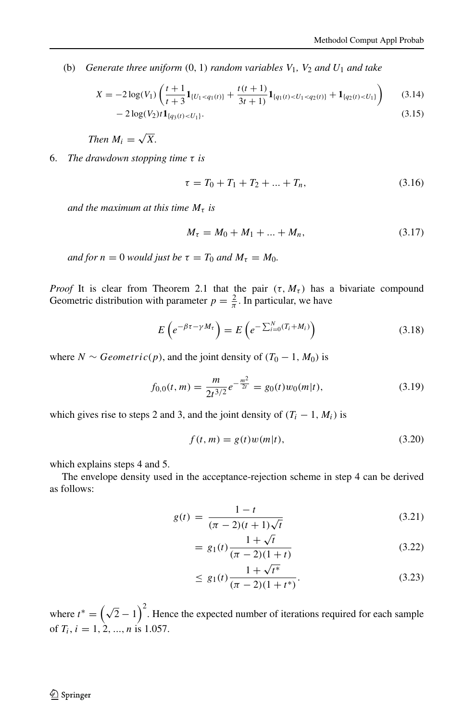(b) *Generate three uniform*  $(0, 1)$  *random variables*  $V_1$ *,*  $V_2$  *and*  $U_1$  *and take* 

$$
X = -2\log(V_1)\left(\frac{t+1}{t+3}\mathbf{1}_{\{U_1 < q_1(t)\}} + \frac{t(t+1)}{3t+1}\mathbf{1}_{\{q_1(t) < U_1 < q_2(t)\}} + \mathbf{1}_{\{q_2(t) < U_1\}}\right) \tag{3.14}
$$

$$
-2\log(V_2)t\mathbf{1}_{\{q_3(t) < U_1\}}.\tag{3.15}
$$

*Then*  $M_i = \sqrt{X}$ *.* 

6. *The drawdown stopping time τ is*

$$
\tau = T_0 + T_1 + T_2 + \dots + T_n,\tag{3.16}
$$

*and the maximum at this time*  $M_{\tau}$  *is* 

$$
M_{\tau} = M_0 + M_1 + \dots + M_n, \tag{3.17}
$$

*and for*  $n = 0$  *would just be*  $\tau = T_0$  *and*  $M_\tau = M_0$ .

*Proof* It is clear from Theorem 2.1 that the pair  $(\tau, M_{\tau})$  has a bivariate compound Geometric distribution with parameter  $p = \frac{2}{\pi}$ . In particular, we have

$$
E\left(e^{-\beta\tau-\gamma M_{\tau}}\right)=E\left(e^{-\sum_{i=0}^{N}(T_{i}+M_{i})}\right)
$$
\n(3.18)

where *N* ∼ *Geometric*(*p*), and the joint density of  $(T_0 - 1, M_0)$  is

$$
f_{0,0}(t,m) = \frac{m}{2t^{3/2}}e^{-\frac{m^2}{2t}} = g_0(t)w_0(m|t),
$$
\n(3.19)

which gives rise to steps 2 and 3, and the joint density of  $(T_i - 1, M_i)$  is

$$
f(t,m) = g(t)w(m|t),
$$
\n(3.20)

which explains steps 4 and 5.

The envelope density used in the acceptance-rejection scheme in step 4 can be derived as follows:

$$
g(t) = \frac{1 - t}{(\pi - 2)(t + 1)\sqrt{t}}
$$
\n(3.21)

$$
= g_1(t) \frac{1 + \sqrt{t}}{(\pi - 2)(1 + t)}
$$
(3.22)

$$
\leq g_1(t) \frac{1 + \sqrt{t^*}}{(\pi - 2)(1 + t^*)}.
$$
\n(3.23)

where  $t^* = (\sqrt{2} - 1)^2$ . Hence the expected number of iterations required for each sample of *Ti*, *i* = 1*,* 2*, ..., n* is 1.057.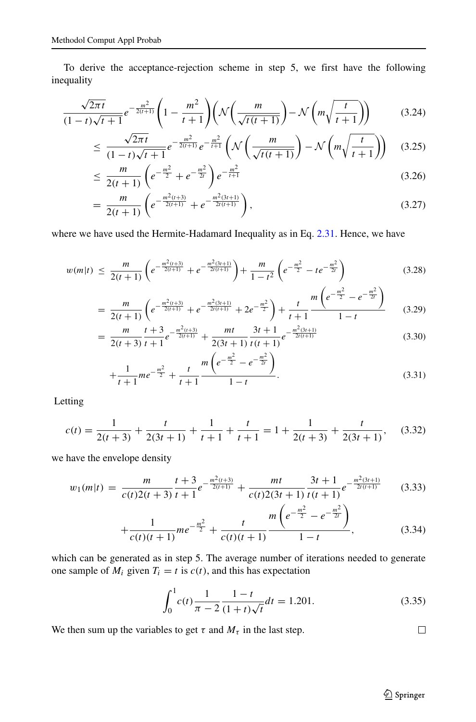To derive the acceptance-rejection scheme in step 5, we first have the following inequality

$$
\frac{\sqrt{2\pi t}}{(1-t)\sqrt{t+1}}e^{-\frac{m^2}{2(t+1)}}\left(1-\frac{m^2}{t+1}\right)\left(\mathcal{N}\left(\frac{m}{\sqrt{t(t+1)}}\right)-\mathcal{N}\left(m\sqrt{\frac{t}{t+1}}\right)\right) \tag{3.24}
$$

$$
\leq \frac{\sqrt{2\pi t}}{(1-t)\sqrt{t+1}} e^{-\frac{m^2}{2(t+1)}} e^{-\frac{m^2}{t+1}} \left( \mathcal{N}\left(\frac{m}{\sqrt{t(t+1)}}\right) - \mathcal{N}\left(m\sqrt{\frac{t}{t+1}}\right) \right) \tag{3.25}
$$

$$
\leq \frac{m}{2(t+1)} \left( e^{-\frac{m^2}{2}} + e^{-\frac{m^2}{2t}} \right) e^{-\frac{m^2}{t+1}} \tag{3.26}
$$

$$
= \frac{m}{2(t+1)} \left( e^{-\frac{m^2(t+3)}{2(t+1)}} + e^{-\frac{m^2(3t+1)}{2t(t+1)}} \right), \tag{3.27}
$$

where we have used the Hermite-Hadamard Inequality as in Eq. [2.31.](#page-6-0) Hence, we have

$$
w(m|t) \leq \frac{m}{2(t+1)} \left( e^{-\frac{m^2(t+3)}{2(t+1)}} + e^{-\frac{m^2(3t+1)}{2t(t+1)}} \right) + \frac{m}{1-t^2} \left( e^{-\frac{m^2}{2}} - t e^{-\frac{m^2}{2t}} \right)
$$
(3.28)

$$
= \frac{m}{2(t+1)} \left( e^{-\frac{m^2(t+3)}{2(t+1)}} + e^{-\frac{m^2(3t+1)}{2t(t+1)}} + 2e^{-\frac{m^2}{2}} \right) + \frac{t}{t+1} \frac{m \left( e^{-\frac{m^2}{2}} - e^{-\frac{m^2}{2t}} \right)}{1-t}
$$
(3.29)

$$
= \frac{m}{2(t+3)} \frac{t+3}{t+1} e^{-\frac{m^2(t+3)}{2(t+1)}} + \frac{mt}{2(3t+1)} \frac{3t+1}{t(t+1)} e^{-\frac{m^2(3t+1)}{2t(t+1)}} \tag{3.30}
$$

$$
+\frac{1}{t+1}me^{-\frac{m^2}{2}}+\frac{t}{t+1}\frac{m\left(e^{-\frac{m^2}{2}}-e^{-\frac{m^2}{2t}}\right)}{1-t}.
$$
\n(3.31)

Letting

$$
c(t) = \frac{1}{2(t+3)} + \frac{t}{2(3t+1)} + \frac{1}{t+1} + \frac{t}{t+1} = 1 + \frac{1}{2(t+3)} + \frac{t}{2(3t+1)},
$$
(3.32)

we have the envelope density

$$
w_1(m|t) = \frac{m}{c(t)2(t+3)} \frac{t+3}{t+1} e^{-\frac{m^2(t+3)}{2(t+1)}} + \frac{mt}{c(t)2(3t+1)} \frac{3t+1}{t(t+1)} e^{-\frac{m^2(3t+1)}{2t(t+1)}} \qquad (3.33)
$$

$$
+\frac{1}{c(t)(t+1)}me^{-\frac{m^2}{2}}+\frac{t}{c(t)(t+1)}\frac{m\left(e^{-\frac{m^2}{2}}-e^{-\frac{m^2}{2t}}\right)}{1-t},\tag{3.34}
$$

which can be generated as in step 5. The average number of iterations needed to generate one sample of  $M_i$  given  $T_i = t$  is  $c(t)$ , and this has expectation

$$
\int_0^1 c(t) \frac{1}{\pi - 2} \frac{1 - t}{(1 + t)\sqrt{t}} dt = 1.201.
$$
 (3.35)

We then sum up the variables to get  $\tau$  and  $M_{\tau}$  in the last step.

 $\Box$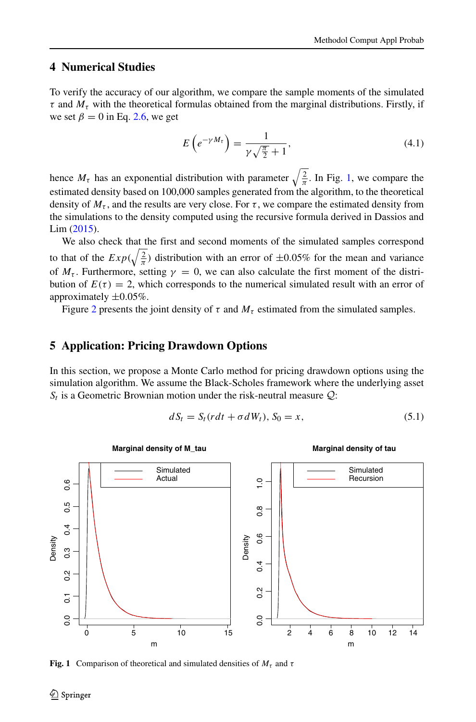#### <span id="page-12-0"></span>**4 Numerical Studies**

To verify the accuracy of our algorithm, we compare the sample moments of the simulated  $\tau$  and  $M_{\tau}$  with the theoretical formulas obtained from the marginal distributions. Firstly, if we set  $\beta = 0$  in Eq. [2.6,](#page-3-1) we get

$$
E\left(e^{-\gamma M_{\tau}}\right) = \frac{1}{\gamma\sqrt{\frac{\pi}{2}} + 1},\tag{4.1}
$$

hence  $M_{\tau}$  has an exponential distribution with parameter  $\sqrt{\frac{2}{\pi}}$ . In Fig. [1,](#page-12-2) we compare the estimated density based on 100,000 samples generated from the algorithm, to the theoretical density of  $M_{\tau}$ , and the results are very close. For  $\tau$ , we compare the estimated density from the simulations to the density computed using the recursive formula derived in Dassios and Lim [\(2015\)](#page-16-9).

We also check that the first and second moments of the simulated samples correspond to that of the  $Exp(\sqrt{\frac{2}{\pi}})$  distribution with an error of  $\pm 0.05\%$  for the mean and variance of  $M_{\tau}$ . Furthermore, setting  $\gamma = 0$ , we can also calculate the first moment of the distribution of  $E(\tau) = 2$ , which corresponds to the numerical simulated result with an error of approximately ±0*.*05%.

Figure [2](#page-13-0) presents the joint density of  $\tau$  and  $M_{\tau}$  estimated from the simulated samples.

#### <span id="page-12-1"></span>**5 Application: Pricing Drawdown Options**

In this section, we propose a Monte Carlo method for pricing drawdown options using the simulation algorithm. We assume the Black-Scholes framework where the underlying asset  $S_t$  is a Geometric Brownian motion under the risk-neutral measure  $Q$ :

$$
dS_t = S_t (rdt + \sigma dW_t), S_0 = x,
$$
\n
$$
(5.1)
$$

<span id="page-12-2"></span>

**Fig. 1** Comparison of theoretical and simulated densities of  $M_\tau$  and  $\tau$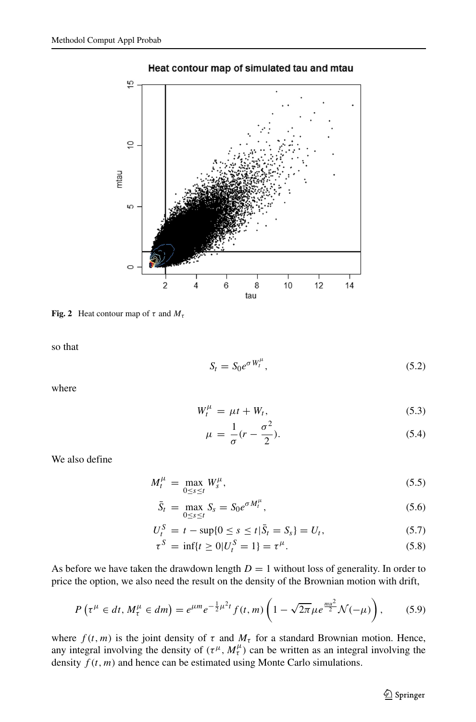<span id="page-13-0"></span>

Heat contour map of simulated tau and mtau

**Fig. 2** Heat contour map of  $\tau$  and  $M_{\tau}$ 

so that

$$
S_t = S_0 e^{\sigma W_t^{\mu}}, \qquad (5.2)
$$

where

$$
W_t^{\mu} = \mu t + W_t, \qquad (5.3)
$$

$$
\mu = \frac{1}{\sigma}(r - \frac{\sigma^2}{2}).\tag{5.4}
$$

We also define

$$
M_t^{\mu} = \max_{0 \le s \le t} W_s^{\mu},\tag{5.5}
$$

$$
\bar{S}_t = \max_{0 \le s \le t} S_s = S_0 e^{\sigma M_t^{\mu}}, \qquad (5.6)
$$

$$
U_t^S = t - \sup\{0 \le s \le t | \bar{S}_t = S_s\} = U_t,
$$
\n(5.7)

$$
\tau^{S} = \inf\{t \ge 0 | U_t^{S} = 1 \} = \tau^{\mu}.
$$
\n(5.8)

As before we have taken the drawdown length  $D = 1$  without loss of generality. In order to price the option, we also need the result on the density of the Brownian motion with drift,

$$
P\left(\tau^{\mu} \in dt, M_{\tau}^{\mu} \in dm\right) = e^{\mu m} e^{-\frac{1}{2}\mu^{2}t} f(t, m) \left(1 - \sqrt{2\pi} \mu e^{\frac{mu^{2}}{2}} \mathcal{N}(-\mu)\right),\tag{5.9}
$$

where  $f(t, m)$  is the joint density of  $\tau$  and  $M_{\tau}$  for a standard Brownian motion. Hence, any integral involving the density of  $(\tau^{\mu}, M^{\mu}_{\tau})$  can be written as an integral involving the density  $f(t, m)$  and hence can be estimated using Monte Carlo simulations.

**◯** Springer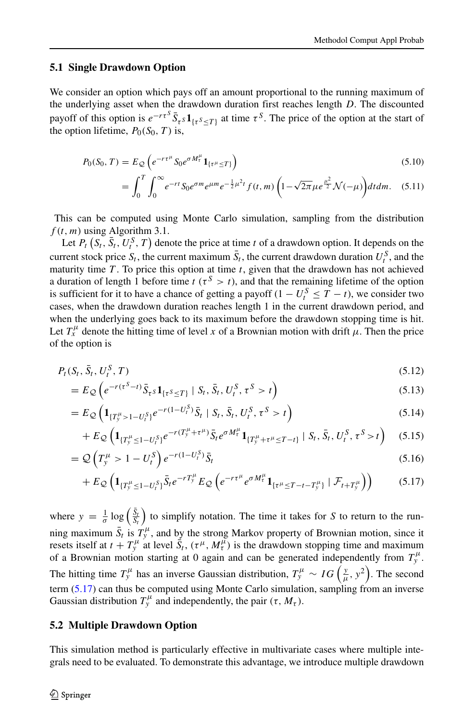#### **5.1 Single Drawdown Option**

We consider an option which pays off an amount proportional to the running maximum of the underlying asset when the drawdown duration first reaches length *D*. The discounted payoff of this option is  $e^{-r\tau s} \bar{S}_{\tau s} \mathbf{1}_{\{\tau s \leq T\}}$  at time  $\tau^s$ . The price of the option at the start of the option lifetime,  $P_0(S_0, T)$  is,

$$
P_0(S_0, T) = E_{\mathcal{Q}} \left( e^{-r\tau^{\mu}} S_0 e^{\sigma M_t^{\mu}} \mathbf{1}_{\{\tau^{\mu} \le T\}} \right)
$$
\n
$$
F^T \left( \int_{-\infty}^{\infty} \int_{-\infty}^{\infty} f(x) \, dx \right)
$$
\n
$$
F^T = \int_{-\infty}^{\infty} \int_{-\infty}^{\infty} f(x) \, dx
$$
\n
$$
F = \int_{-\infty}^{\infty} \int_{-\infty}^{\infty} f(x) \, dx
$$
\n
$$
F = \int_{-\infty}^{\infty} \int_{-\infty}^{\infty} f(x) \, dx
$$
\n
$$
F = \int_{-\infty}^{\infty} \int_{-\infty}^{\infty} f(x) \, dx
$$
\n
$$
F = \int_{-\infty}^{\infty} \int_{-\infty}^{\infty} f(x) \, dx
$$
\n
$$
F = \int_{-\infty}^{\infty} \int_{-\infty}^{\infty} f(x) \, dx
$$
\n
$$
F = \int_{-\infty}^{\infty} \int_{-\infty}^{\infty} f(x) \, dx
$$
\n
$$
F = \int_{-\infty}^{\infty} \int_{-\infty}^{\infty} f(x) \, dx
$$
\n
$$
F = \int_{-\infty}^{\infty} \int_{-\infty}^{\infty} f(x) \, dx
$$
\n
$$
F = \int_{-\infty}^{\infty} \int_{-\infty}^{\infty} f(x) \, dx
$$
\n
$$
F = \int_{-\infty}^{\infty} \int_{-\infty}^{\infty} f(x) \, dx
$$
\n
$$
F = \int_{-\infty}^{\infty} \int_{-\infty}^{\infty} f(x) \, dx
$$
\n
$$
F = \int_{-\infty}^{\infty} \int_{-\infty}^{\infty} f(x) \, dx
$$
\n
$$
F = \int_{-\infty}^{\infty} \int_{-\infty}^{\infty} f(x) \, dx
$$
\n
$$
F = \int_{-\infty}^{\infty} \int_{-\infty}^{\infty} f(x) \, dx
$$
\n
$$
F = \int_{-\
$$

$$
= \int_0^T \int_0^\infty e^{-rt} S_0 e^{\sigma m} e^{\mu m} e^{-\frac{1}{2}\mu^2 t} f(t, m) \left(1 - \sqrt{2\pi} \mu e^{\frac{\mu^2}{2}} \mathcal{N}(-\mu)\right) dt dm. \quad (5.11)
$$

This can be computed using Monte Carlo simulation, sampling from the distribution  $f(t, m)$  using Algorithm 3.1.

Let  $P_t(S_t, \bar{S}_t, U_t^S, T)$  denote the price at time *t* of a drawdown option. It depends on the current stock price  $S_t$ , the current maximum  $\bar{S}_t$ , the current drawdown duration  $U_t^S$ , and the maturity time *T* . To price this option at time *t*, given that the drawdown has not achieved a duration of length 1 before time  $t$  ( $\tau$ <sup>S</sup>  $> t$ ), and that the remaining lifetime of the option is sufficient for it to have a chance of getting a payoff  $(1 - U_t^S \leq T - t)$ , we consider two cases, when the drawdown duration reaches length 1 in the current drawdown period, and when the underlying goes back to its maximum before the drawdown stopping time is hit. Let  $T_x^{\mu}$  denote the hitting time of level *x* of a Brownian motion with drift  $\mu$ . Then the price of the option is

$$
P_t(S_t, \bar{S}_t, U_t^S, T) \tag{5.12}
$$

<span id="page-14-0"></span>
$$
=E_{\mathcal{Q}}\left(e^{-r(\tau^{S}-t)}\bar{S}_{\tau^{S}}\mathbf{1}_{\{\tau^{S}\leq T\}}\mid S_{t},\bar{S}_{t},U_{t}^{S},\tau^{S}>t\right)
$$
\n(5.13)

$$
= E_{\mathcal{Q}} \left( \mathbf{1}_{\{T_y^{\mu} > 1 - U_t^S\}} e^{-r(1 - U_t^S)} \bar{S}_t \mid S_t, \bar{S}_t, U_t^S, \tau^S > t \right)
$$
(5.14)

$$
+ E_{\mathcal{Q}} \left( \mathbf{1}_{\{T_y^{\mu} \le 1 - U_t^S\}} e^{-r(T_y^{\mu} + \tau^{\mu})} \bar{S}_t e^{\sigma M_t^{\mu}} \mathbf{1}_{\{T_y^{\mu} + \tau^{\mu} \le T - t\}} \mid S_t, \bar{S}_t, U_t^S, \tau^S > t \right) \tag{5.15}
$$

$$
= Q\left(T_y^{\mu} > 1 - U_t^S\right) e^{-r(1 - U_t^S)} \bar{S}_t
$$
\n
$$
(5.16)
$$

$$
+ E_{\mathcal{Q}} \left( \mathbf{1}_{\{T_y^{\mu} \le 1 - U_t^S\}} \bar{S}_t e^{-rT_y^{\mu}} E_{\mathcal{Q}} \left( e^{-r\tau^{\mu}} e^{\sigma M_t^{\mu}} \mathbf{1}_{\{\tau^{\mu} \le T - t - T_y^{\mu}\}} \mid \mathcal{F}_{t+T_y^{\mu}} \right) \right) \tag{5.17}
$$

where  $y = \frac{1}{\sigma} \log \left( \frac{\bar{S}_t}{S_t} \right)$  to simplify notation. The time it takes for *S* to return to the running maximum  $\bar{S}_t$  is  $T_y^{\mu}$ , and by the strong Markov property of Brownian motion, since it resets itself at  $t + T_y^{\mu}$  at level  $\tilde{S}_t$ ,  $(\tau^{\mu}, M_t^{\mu})$  is the drawdown stopping time and maximum of a Brownian motion starting at 0 again and can be generated independently from  $T_y^{\mu}$ . The hitting time  $T_y^{\mu}$  has an inverse Gaussian distribution,  $T_y^{\mu} \sim IG\left(\frac{y}{\mu}, y^2\right)$ . The second term  $(5.17)$  can thus be computed using Monte Carlo simulation, sampling from an inverse Gaussian distribution  $T_y^{\mu}$  and independently, the pair  $(\tau, M_{\tau})$ .

#### **5.2 Multiple Drawdown Option**

This simulation method is particularly effective in multivariate cases where multiple integrals need to be evaluated. To demonstrate this advantage, we introduce multiple drawdown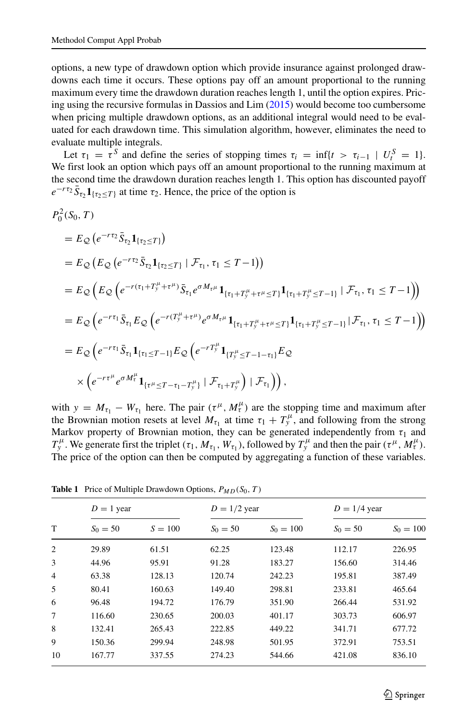options, a new type of drawdown option which provide insurance against prolonged drawdowns each time it occurs. These options pay off an amount proportional to the running maximum every time the drawdown duration reaches length 1, until the option expires. Pricing using the recursive formulas in Dassios and Lim [\(2015\)](#page-16-9) would become too cumbersome when pricing multiple drawdown options, as an additional integral would need to be evaluated for each drawdown time. This simulation algorithm, however, eliminates the need to evaluate multiple integrals.

Let  $\tau_1 = \tau^S$  and define the series of stopping times  $\tau_i = \inf\{t > \tau_{i-1} \mid U_i^S = 1\}.$ We first look an option which pays off an amount proportional to the running maximum at the second time the drawdown duration reaches length 1. This option has discounted payoff  $e^{-r\tau_2} \bar{S}_{\tau_2} \mathbf{1}_{\{\tau_2 \leq T\}}$  at time  $\tau_2$ . Hence, the price of the option is

$$
P_0^2(S_0,T)
$$

$$
= E_{\mathcal{Q}} (e^{-r\tau_{2}} \bar{S}_{\tau_{2}} \mathbf{1}_{\{\tau_{2} \leq T\}})
$$
  
\n
$$
= E_{\mathcal{Q}} (E_{\mathcal{Q}} (e^{-r\tau_{2}} \bar{S}_{\tau_{2}} \mathbf{1}_{\{\tau_{2} \leq T\}} | \mathcal{F}_{\tau_{1}}, \tau_{1} \leq T - 1))
$$
  
\n
$$
= E_{\mathcal{Q}} (E_{\mathcal{Q}} (e^{-r(\tau_{1} + T_{y}^{\mu} + \tau^{\mu})} \bar{S}_{\tau_{1}} e^{\sigma M_{\tau} \mu} \mathbf{1}_{\{\tau_{1} + T_{y}^{\mu} + \tau^{\mu} \leq T\}} \mathbf{1}_{\{\tau_{1} + T_{y}^{\mu} \leq T - 1\}} | \mathcal{F}_{\tau_{1}}, \tau_{1} \leq T - 1))
$$
  
\n
$$
= E_{\mathcal{Q}} (e^{-r\tau_{1}} \bar{S}_{\tau_{1}} E_{\mathcal{Q}} (e^{-r(T_{y}^{\mu} + \tau^{\mu})} e^{\sigma M_{\tau} \mu} \mathbf{1}_{\{\tau_{1} + T_{y}^{\mu} + \tau^{\mu} \leq T\}} \mathbf{1}_{\{\tau_{1} + T_{y}^{\mu} \leq T - 1\}} | \mathcal{F}_{\tau_{1}}, \tau_{1} \leq T - 1))
$$
  
\n
$$
= E_{\mathcal{Q}} (e^{-r\tau_{1}} \bar{S}_{\tau_{1}} \mathbf{1}_{\{\tau_{1} \leq T - 1\}} E_{\mathcal{Q}} (e^{-rT_{y}^{\mu}} \mathbf{1}_{\{T_{y}^{\mu} \leq T - 1 - \tau_{1}\}} E_{\mathcal{Q}} (e^{-rT_{\tau}^{\mu}} \mathbf{1}_{\{\tau_{1} + T_{y}^{\mu}\}} | \mathcal{F}_{\tau_{1}}))
$$
  
\n
$$
\times (e^{-r\tau^{\mu}} e^{\sigma M_{\tau}^{\mu}} \mathbf{1}_{\{\tau^{\mu} \leq T - \tau_{1} - T_{y}^{\mu}\}} | \mathcal{F}_{\tau_{1} + T_{y}^{\mu}}) | \mathcal{F}_{\tau_{1}}))
$$

with  $y = M_{\tau_1} - W_{\tau_1}$  here. The pair  $(\tau^{\mu}, M^{\mu}_{\tau})$  are the stopping time and maximum after the Brownian motion resets at level  $M_{\tau_1}$  at time  $\tau_1 + T_y^{\mu}$ , and following from the strong Markov property of Brownian motion, they can be generated independently from  $\tau_1$  and *T*<sup>*μ*</sup>. We generate first the triplet  $(\tau_1, M_{\tau_1}, W_{\tau_1})$ , followed by  $T_y^{\mu}$  and then the pair  $(\tau^{\mu}, M_t^{\mu})$ . The price of the option can then be computed by aggregating a function of these variables.

| T              | $D = 1$ year |           | $D = 1/2$ year |             | $D = 1/4$ year |             |
|----------------|--------------|-----------|----------------|-------------|----------------|-------------|
|                | $S_0 = 50$   | $S = 100$ | $S_0 = 50$     | $S_0 = 100$ | $S_0 = 50$     | $S_0 = 100$ |
| $\overline{2}$ | 29.89        | 61.51     | 62.25          | 123.48      | 112.17         | 226.95      |
| 3              | 44.96        | 95.91     | 91.28          | 183.27      | 156.60         | 314.46      |
| $\overline{4}$ | 63.38        | 128.13    | 120.74         | 242.23      | 195.81         | 387.49      |
| 5              | 80.41        | 160.63    | 149.40         | 298.81      | 233.81         | 465.64      |
| 6              | 96.48        | 194.72    | 176.79         | 351.90      | 266.44         | 531.92      |
| 7              | 116.60       | 230.65    | 200.03         | 401.17      | 303.73         | 606.97      |
| 8              | 132.41       | 265.43    | 222.85         | 449.22      | 341.71         | 677.72      |
| 9              | 150.36       | 299.94    | 248.98         | 501.95      | 372.91         | 753.51      |
| 10             | 167.77       | 337.55    | 274.23         | 544.66      | 421.08         | 836.10      |

<span id="page-15-0"></span>**Table 1** Price of Multiple Drawdown Options, *PMD(S*0*,T)*